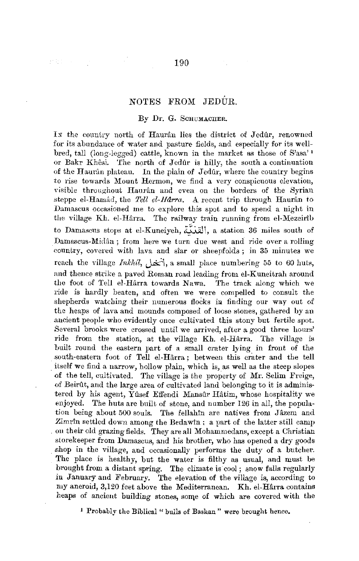## NOTES FROM JEDÚR.

## By Dr. G. ScHuMACIIER.

In the country north of Hauran lies the district of Jedur, renowned for its abundance of water and pasture fields, and especially for its wellbred, tall (long-legged) cattle, known in the market as those of S'asa' 1 or Bakr Khêsi. The north of Jedur is hilly, the south a continuation of the Hauran plateau. In the plain of Jedur, where the country begins to rise towards Mount Hermon, we find a very conspicuous elevation, visible throughout Haurân and even on the borders of the Syrian steppe el-Hamâd, the *Tell el-Harra*. A recent trip through Haurân to Damascus occasioned me to explore this spot and to spend a night in the village Kh. el-Harra. The railway train running from el-Mezeirib to Damascus stops at el-Kuneiyeh, القندَّة, a station 36 miles south of Damascus-Midân; from here we turn due west and ride over a rolling country, covered with lava and sîar or sheepfolds; in 35 minutes we reach the village *InkMl,* J~\, a small place numbering 55 to *60* huts, and thence strike a paved Roman road leading from el-Kuneitrah around the foot of Tell el-Harra towards Nawa. The track along which we ride is hardly beaten, and often we were compelled to consult the shepherds watching their numerous flocks in finding our way out of the heaps of lava and mounds composed of loose stones, gathered by an .ancient people who evidently once cultivated this stony but fertile spot. Several brooks were crossed until we arrived, after a good three hours' ride from the station, at the village Kh. el-Hârra. The village is built round the eastern part of a small crater lying in front of the south-eastern foot of Tell el-Harra; between this crater and the tell itself we find a narrow, hollow plain, which is, as well as the steep slopes of the tell, cultivated. The village is the property of Mr. Selim Freige, of Beirût, and the large area of cultivated land belonging to it is administered by his agent, Yûsef Effendi Mansûr Hâtim, whose hospitality we enjoyed. The huts are built of stone, and number 126 in all, the population being about 500 souls. The fellahin are natives from Jazem and .Zimrin settled down among the Bedawin ; a part of the latter still camp on their old grazing fields. They are all Mohammedans, except a Christian storekeeper from Damascus, and his brother, who has opened a dry goods shop in the village, and occasionally performs the duty of a butcher. The place is healthy, but the water is filthy as usual, and must be brought from a distant spring. The climate is cool ; snow falls regularly in January and February. The elevation of the village is, according to my aneroid, 3,120 feet above the Mediterranean. **Kh.** el-Harra contains heaps of ancient building stones, some of which are covered with the

<sup>1</sup> Probably the Biblical "bulls of Bashan" were brought hence.

子宮中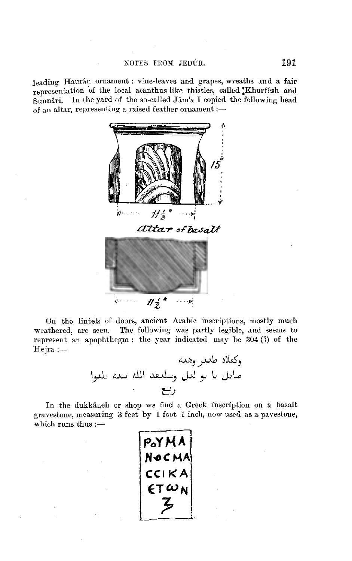leading Haurân ornament : vine-leaves and grapes, wreaths and a fair representation of the local acanthus-like thistles, called Khurfesh and Sunnâri. In the yard of the so-called Jâm'a I copied the following head of an altar, representing a raised feather ornament :-



On the lintels of doors, ancient Arabic inscriptions, mostly much weathered, are seen. The following was partly legible, and seems to represent an apophthegm; the year indicated may be 304 (?) of the  ${\rm Heira}:=$ 

In the dukkaneh or shop we find a Greek inscription on a basalt gravestone, measuring 3 feet by 1 foot 1 inch, now used as a pavestone, which runs thus  $:=$ 

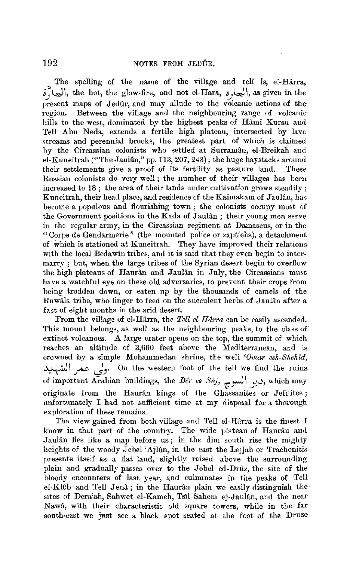The spelling of the name of the village and tell is, el-Harra,  $\tilde{s}$ , (المحارة, the hot, the glow-fire, and not el-Hara,  $s$ المحا present maps of Jedûr, and may allude to the volcanic actions of theregion. Between the village and the neighbouring range of volcanichills to the west, dominated by the highest peaks of Hâmi Kursu and Tell Abu Neda, extends a fertile high plateau, intersected by lava streams and perennial brooks, the greatest part of which is claimed by the Circassian colonists who settled at Surramân, el-Breikah and el-Kuneitrah ("The Jaulân," pp. 113, 207, 243); the huge haystacks around<br>their settlements give a proof of its fertility as pasture land. These their settlements give a proof of its fertility as pasture land. Russian colonists do very well ; the number of their villages has been increased to  $18$ ; the area of their lands under cultivation grows steadily; Kuneitrah, their head place, and residence of the Kaimakam of Jaulan, has become a populous and flourishing town ; the colonists occupy most of the Government positions in the Kada of Jaulân; their young men serve in the regular army, in the Circassian regiment at Damascus, or in the "Corps de Gendarmerie" (the mounted police or zaptiehs), a detachment of which is stationed at Kuneitrah. They have improved their relations with the local Bedawin tribes, and it is said that they even begin to intermarry ; but, when the large tribes of the Syrian desert begin to overflow the high plateaus of Haurân and Jaulân in July, the Circassians must have a watchful eye on these old adversaries, to prevent their crops from being trodden down, or eaten up by the thousands of camels of the Ruwâla tribe, who linger to feed on the succulent herbs of Jaulân after a fast of eight months in the arid desert.

From the village of el-Hârra, the *Tell el Hârra* can be easily ascended. This mount belongs, as well as the neighbouring peaks, to the class of extinct volcanoes. A large crater opens on the top, the summit of which reaches an altitude of 3,660 feet above the Mediterranean, and is crowned by a simple Mohammedan shrine, the weli *'Ornar esh-Sheh1d,*  ~\ **\_)....z** *Jy* On the western foot of the tell we find the ruins of important Arabian buildings, the *Dêr es Súj*, السوج, which may originate from the Hauran kings of the Ghassanites or Jefnites; unfortunately I had not sufficient time at my disposal for a thorough exploration of these remains.

The view gained from both village and Tell el-Hårra is the finest I know in that part of the country. The wide plnteau of Hanran and Jaulân lies like a map before us; in the dim south rise the mighty heights of the woody Jebel 'Ajlûn, in the east the Lejjah or Trachonitispresents itself as a flat land, slightly raised above the surrounding plain and gradually passes over to the Jebel ed-Drúz, the site of the bloody encounters of last year, and culminates in the peaks of Tell el-Kl6b and Tell Jena; in the Hauran plain we easily distinguish the sites of Dera'ah, Sahwet el-Kameh, Tsil Sahem ej-Jaulân, and the near Nawa, with their characteristic old square towers, while in the far south-east we just see a black spot seated at the foot of the Druze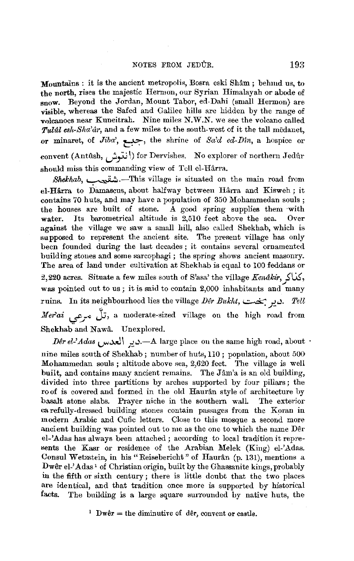Mountains : it is the ancient metropolis, Bosra eski Shâm ; behmd us, to the north, rises the majestic Hermon, our Syrian Himalayab or abode of snow. Beyond the Jordan, Mount Tabor, ed-Dabi (small Hermon) are visible, whereas the Safed and Galilee hills are hidden by the range of vnlcanoes near Kuneitrah. Nine miles N.W.N. we see the volcano called *Tulll,l esh-Sha'cir,* and a few miles to the south-west of it the tall medanet, or minaret, of *Jiba',* ?::~• the shrine of *Sa'd ed-Dtn,* a hospice or convent (Antûsh, *إ*نتهش, for Dervishes. No explorer of northern Jedûr should miss this commanding view of Tell el-Hârra.

*Shekhab,* ~.-This village is situated on the main road from el-Hârra to Damascus, about halfway between Hârra and Kisweh; it contains 70 huts, and may have a population of  $350$  Mohammedan souls;<br>the houses are built of stone. A good spring supplies them with  $\overline{A}$  good spring supplies them with **water.** Its barometrical altitude is 2,510 feet above the sea. Over against the village we saw a small hill, also called Shekhab, which is supposed to represent the ancient site. The present village has only been founded during the last decades ; it contains several ornamented building stones and some sarcophagi ; the spring shows ancient masonry. The area of land under cultivation at Shekhab is equal to 100 feddans or 2,220 acres. Situate a few miles south of S'asa' the village *Kendkir,}'GS,*  was pointed out to us ; it is said to contain 2,000 inhabitants and many ruins. In its neighbourhood lies the village *Der Bukht*, میر بخت: *Tell Merai* برعى, a moderate-sized village on the high road from Shekhab and Nawa. Unexplored.

*JJ~rel-'Adas,* ..,~\ -•w.-A large place on the same high road, about v-- *J••*  nine miles south of Shekhab; number of huts, 110; population, about 500 Mohammedan souls ; altitude above sea, 2,620 feet. The village is well built, and contains many ancient remains. The Jâm'a is an old building, divided into three partitions by arches supported by four pillars; the ro of is covered and formed in the old Haurân style of architecture by basalt stone slabs. Prayer niche in the southern wall. The exterior ea refully-dressed building stones contain passages from the Koran in modern Arabic and Cufic letters. Close to this mosque a second more ancient building was pointed out to me as the one to which the name Der el-'Adas has always been attached; according to local tradition it represents the Kasr or residence of the Arabian Melek (King) el-'Adas. Consul Wetzstein, in his "Reisebericht" of Haurân (p. 131), mentions a Dwêr el-'Adas<sup>1</sup> of Christian origin, built by the Ghassanite kings, probably in the fifth or sixth century ; there is little doubt that the two places are identical, and that tradition once more is supported by historical facts. The building is a large square surrounded by native huts, the

<sup>1</sup> Dwer = the diminutive of der, convent or castle.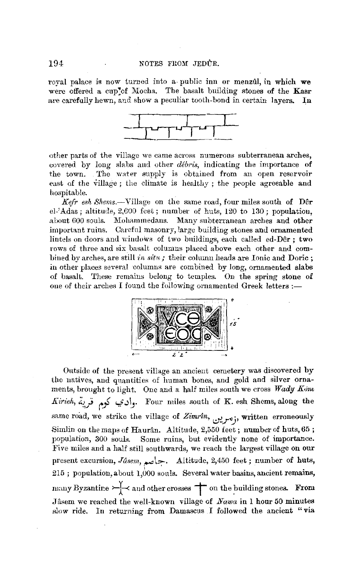royal palace is now turned into a public inn or menzul, in which we were offered a cup<sup>o</sup> of Mocha. The basalt building stones of the Kasr are carefully hewn, and show a peculiar tooth-bond in certain layers. In



other parts of the village we came across numerous subterranean arches, covered by long slabs and other *debris,* indicating the importance of the town. The water supply is obtained from an open reservoir east of the village ; the climate is healthy ; the people agreeable and hospitable.

*Kefr esh Shems.-*Village on the same road, four miles south of Der el-'Adas; altitude, 2,600 feet; number of huts, 120 to 130; population, about 600 souls. Mohammedans. Many subterranean arches and other important ruins. Carefnl masonry, large building stones and ornamented lintels on doors and windows of two buildings, each called ed-Dêr; two rows of three and six basalt columns placed above each other and combined by arches, are still *in situ*; their column heads are Ionic and Doric; in other places several columns are combined by long, ornamented slabs of basalt. These remains belong to temples. On the spring stone of one of their arches I found the following ornamented Greek letters :-



Outside of the present village an ancient cemetery was discovered by the natives, and quantities of human bones, and gold and silver ornaments, brought to light. One and a half miles south we cross Wady Kom *Kiriek, i.1,}* ("j *i..,f* ~~- Four miles south of K. esh Shems, along the same road, we strike the village of *Zimrîn*, <sub>وأ</sub>مرين, written erroneously Simlin on the maps of Haurân. Altitude, 2,550 feet ; number of huts,  $65$ ; population, 300 souls. Some ruins, but evidently none of importance. Five miles and a half still southwards, we reach the largest village on our present excursion, *Jasem*, جامع, Altitude, 2,450 feet; number of huts,  $215$ ; population, about 1,000 souls. Several water basins, ancient remains, many Byzantine  $\rightarrow \rightarrow \rightarrow$  and other crosses  $\rightarrow$  on the building stones. From ,Jasem we reached the well-known village of *Nawa* in l hour 50 minutes slow ride. In returning from Damascus I followed the ancient "via